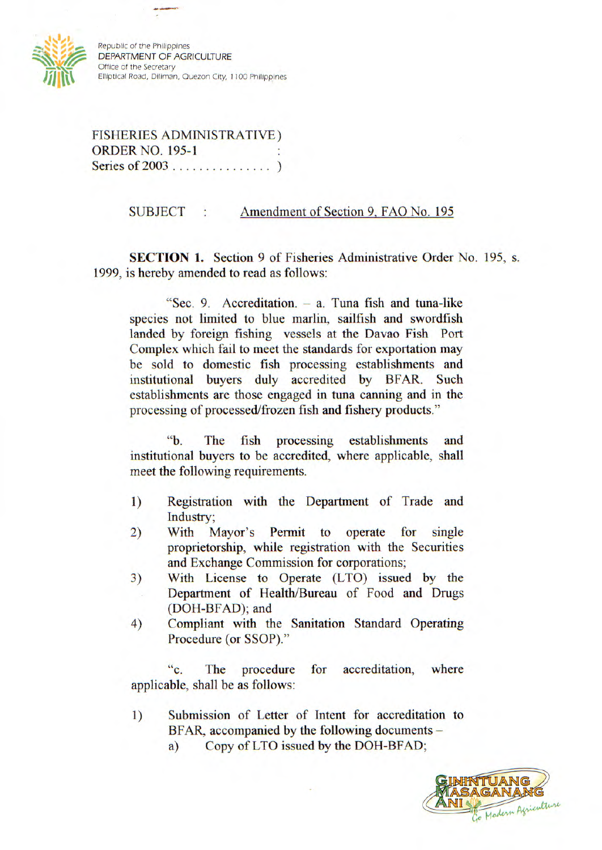

**Republic of the Philippines DEPARTMENT OF AGRICULTURE Office of the** *Secretary* **'hut' Elliptical Road, Diliman, Quezon City, 1100 Philippines** 

**FISHERIES ADMINISTRATIVE) ORDER NO. 195-1 Series of 2003 ...............)** 

## **SUBJECT : Amendment of Section 9, FAO No. 195**

**SECTION 1.** Section 9 of Fisheries Administrative Order No. 195, s. **1999, is hereby amended to read as follows:** 

**"Sec. 9. Accreditation. - a. Tuna fish and tuna-like species not limited to blue marlin, sailfish and swordfish landed by foreign fishing vessels at the Davao Fish Port Complex which fail to meet the standards for exportation may be sold to domestic fish processing establishments and institutional buyers duly accredited by BFAR. Such establishments are those engaged in tuna canning and in the processing of processed/frozen fish and fishery products."** 

**"b. The fish processing establishments and institutional buyers to be accredited, where applicable, shall meet the following requirements.** 

- **1) Registration with the Department of Trade and Industry;**
- **2) With Mayor's Permit to operate for single proprietorship, while registration with the Securities and Exchange Commission for corporations;**
- **3) With License to Operate (LTO) issued by the Department of Health/Bureau of Food and Drugs (DOH-BFAD); and**
- **4) Compliant with the Sanitation Standard Operating Procedure (or SSOP)."**

**"c. The procedure for accreditation, where applicable, shall be as follows:** 

- **1) Submission of Letter of Intent for accreditation to BFAR, accompanied by the following documents** 
	- **a) Copy of LTO issued by the DOH-BFAD;**